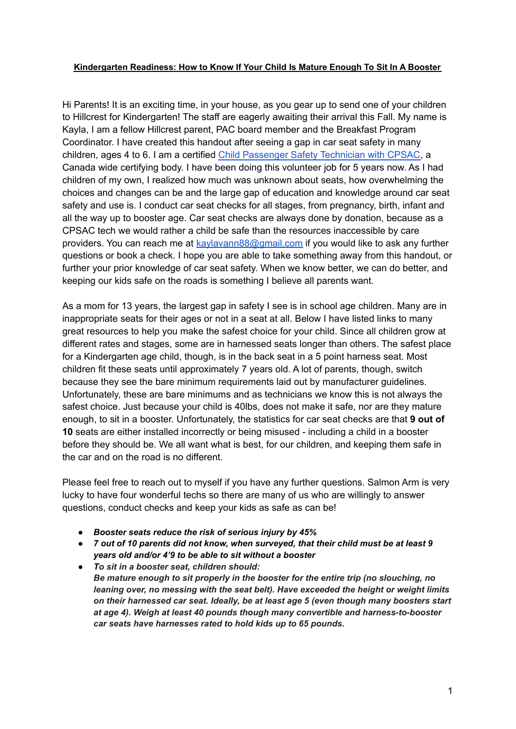## **Kindergarten Readiness: How to Know If Your Child Is Mature Enough To Sit In A Booster**

Hi Parents! It is an exciting time, in your house, as you gear up to send one of your children to Hillcrest for Kindergarten! The staff are eagerly awaiting their arrival this Fall. My name is Kayla, I am a fellow Hillcrest parent, PAC board member and the Breakfast Program Coordinator. I have created this handout after seeing a gap in car seat safety in many children, ages 4 to 6. I am a certified Child [Passenger](https://www.cpsac.org/) Safety Technician with CPSAC, a Canada wide certifying body. I have been doing this volunteer job for 5 years now. As I had children of my own, I realized how much was unknown about seats, how overwhelming the choices and changes can be and the large gap of education and knowledge around car seat safety and use is. I conduct car seat checks for all stages, from pregnancy, birth, infant and all the way up to booster age. Car seat checks are always done by donation, because as a CPSAC tech we would rather a child be safe than the resources inaccessible by care providers. You can reach me at [kaylavann88@gmail.com](mailto:kaylavann88@gmail.com) if you would like to ask any further questions or book a check. I hope you are able to take something away from this handout, or further your prior knowledge of car seat safety. When we know better, we can do better, and keeping our kids safe on the roads is something I believe all parents want.

As a mom for 13 years, the largest gap in safety I see is in school age children. Many are in inappropriate seats for their ages or not in a seat at all. Below I have listed links to many great resources to help you make the safest choice for your child. Since all children grow at different rates and stages, some are in harnessed seats longer than others. The safest place for a Kindergarten age child, though, is in the back seat in a 5 point harness seat. Most children fit these seats until approximately 7 years old. A lot of parents, though, switch because they see the bare minimum requirements laid out by manufacturer guidelines. Unfortunately, these are bare minimums and as technicians we know this is not always the safest choice. Just because your child is 40lbs, does not make it safe, nor are they mature enough, to sit in a booster. Unfortunately, the statistics for car seat checks are that **9 out of 10** seats are either installed incorrectly or being misused - including a child in a booster before they should be. We all want what is best, for our children, and keeping them safe in the car and on the road is no different.

Please feel free to reach out to myself if you have any further questions. Salmon Arm is very lucky to have four wonderful techs so there are many of us who are willingly to answer questions, conduct checks and keep your kids as safe as can be!

- *● Booster seats reduce the risk of serious injury by 45%*
- *● 7 out of 10 parents did not know, when surveyed, that their child must be at least 9 years old and/or 4'9 to be able to sit without a booster*
- *● To sit in a booster seat, children should: Be mature enough to sit properly in the booster for the entire trip (no slouching, no leaning over, no messing with the seat belt). Have exceeded the height or weight limits on their harnessed car seat. Ideally, be at least age 5 (even though many boosters start at age 4). Weigh at least 40 pounds though many convertible and harness-to-booster car seats have harnesses rated to hold kids up to 65 pounds.*